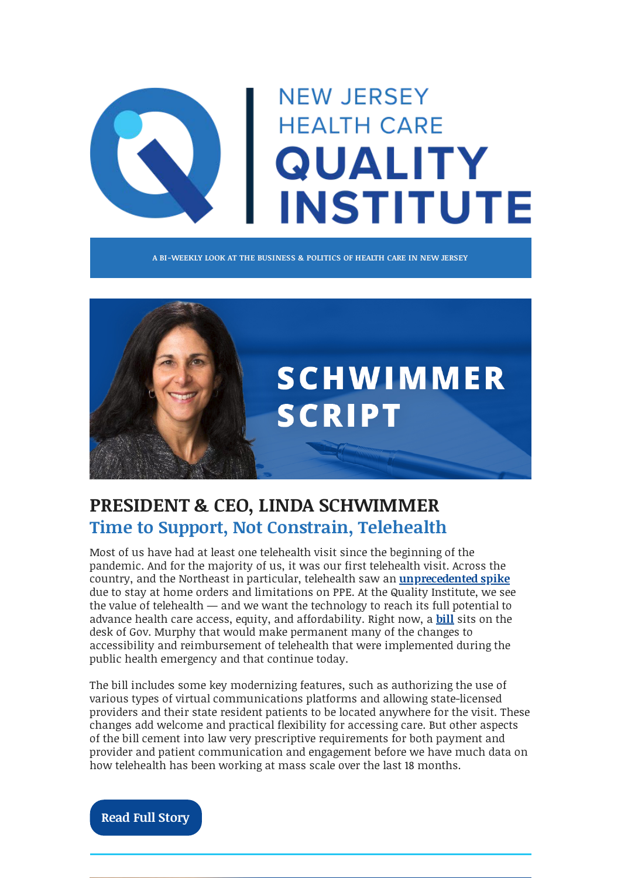# **NEW JERSEY HEALTH CARE QUALITY INSTITUTE**

**A BI-WEEKLY LOOK AT THE BUSINESS & POLITICS OF HEALTH CARE IN NEW JERSEY**



## **PRESIDENT & CEO, LINDA SCHWIMMER Time to Support, Not Constrain, Telehealth**

Most of us have had at least one telehealth visit since the beginning of the pandemic. And for the majority of us, it was our first telehealth visit. Across the country, and the Northeast in particular, telehealth saw an **[unprecedented spike](https://www.fairhealth.org/states-by-the-numbers/telehealth)** due to stay at home orders and limitations on PPE. At the Quality Institute, we see the value of telehealth — and we want the technology to reach its full potential to advance health care access, equity, and affordability. Right now, a **[bill](https://www.njleg.state.nj.us/2020/Bills/S3000/2559_R4.PDF)** sits on the desk of Gov. Murphy that would make permanent many of the changes to accessibility and reimbursement of telehealth that were implemented during the public health emergency and that continue today.

The bill includes some key modernizing features, such as authorizing the use of various types of virtual communications platforms and allowing state-licensed providers and their state resident patients to be located anywhere for the visit. These changes add welcome and practical flexibility for accessing care. But other aspects of the bill cement into law very prescriptive requirements for both payment and provider and patient communication and engagement before we have much data on how telehealth has been working at mass scale over the last 18 months.

**[Read Full Story](https://njhcqi.info/CEOBlog102121)**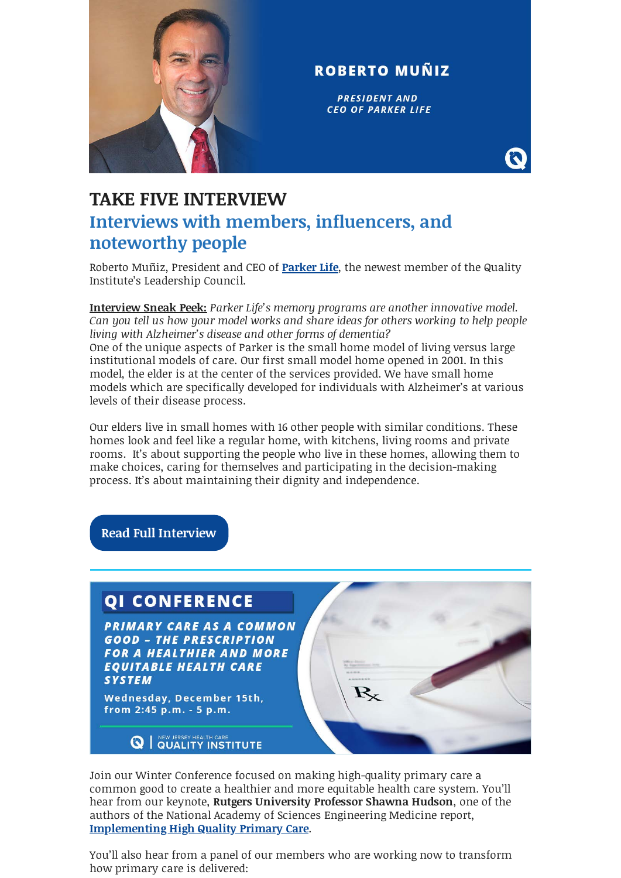

#### **ROBERTO MUÑIZ**

**PRESIDENT AND CEO OF PARKER LIFE** 

## **TAKE FIVE INTERVIEW Interviews with members, influencers, and noteworthy people**

Roberto Muñiz, President and CEO of **[Parker Life](https://www.parkerlife.org/)**, the newest member of the Quality Institute's Leadership Council.

**Interview Sneak Peek:** *Parker Life's memory programs are another innovative model. Can you tell us how your model works and share ideas for others working to help people living with Alzheimer's disease and other forms of dementia?* One of the unique aspects of Parker is the small home model of living versus large institutional models of care. Our first small model home opened in 2001. In this model, the elder is at the center of the services provided. We have small home models which are specifically developed for individuals with Alzheimer's at various levels of their disease process.

Our elders live in small homes with 16 other people with similar conditions. These homes look and feel like a regular home, with kitchens, living rooms and private rooms. It's about supporting the people who live in these homes, allowing them to make choices, caring for themselves and participating in the decision-making process. It's about maintaining their dignity and independence.

**[Read Full Interview](https://njhcqi.info/Take5Interview102121)**

#### **OI CONFERENCE**

**PRIMARY CARE AS A COMMON GOOD - THE PRESCRIPTION FOR A HEALTHIER AND MORE EOUITABLE HEALTH CARE SYSTEM** 

Wednesday, December 15th, from 2:45 p.m. - 5 p.m.

**Q** | NEW JERSEY HEALTH CARE



Join our Winter Conference focused on making high-quality primary care a common good to create a healthier and more equitable health care system. You'll hear from our keynote, **Rutgers University Professor Shawna Hudson**, one of the authors of the National Academy of Sciences Engineering Medicine report, **[Implementing High Quality Primary Care](https://www.nationalacademies.org/our-work/implementing-high-quality-primary-care)**.

You'll also hear from a panel of our members who are working now to transform how primary care is delivered: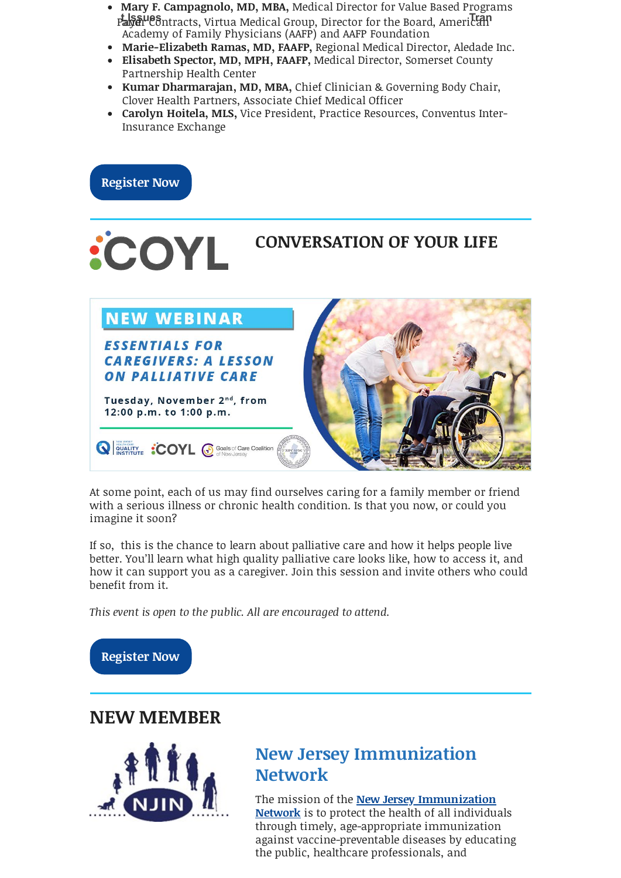- **Mary F. Campagnolo, MD, MBA,** Medical Director for Value Based Pro[grams](javascript:;) and **t Issues** [Payer Contra](https://us8.campaign-archive.com/home/?u=87ee6be0d114c049b94cdf506&id=2090e1803a)cts, Virtua Medical Group, Director for the Board, Ameri **T**ca **ran**n Academy of Family Physicians (AAFP) and AAFP Foundation
- **Marie-Elizabeth Ramas, MD, FAAFP,** Regional Medical Director, Aledade Inc.
- **Elisabeth Spector, MD, MPH, FAAFP,** Medical Director, Somerset County Partnership Health Center
- **Kumar Dharmarajan, MD, MBA,** Chief Clinician & Governing Body Chair, Clover Health Partners, Associate Chief Medical Officer
- **Carolyn Hoitela, MLS,** Vice President, Practice Resources, Conventus Inter-Insurance Exchange



At some point, each of us may find ourselves caring for a family member or friend with a serious illness or chronic health condition. Is that you now, or could you imagine it soon?

If so, this is the chance to learn about palliative care and how it helps people live better. You'll learn what high quality palliative care looks like, how to access it, and how it can support you as a caregiver. Join this session and invite others who could benefit from it.

*This event is open to the public. All are encouraged to attend.* 



### **NEW MEMBER**



## **New Jersey Immunization Network**

The mission of the **New Jersey Immunization Network** [is to protect the health of all individu](https://www.immunizenj.org/)als through timely, age-appropriate immunization against vaccine-preventable diseases by educating the public, healthcare professionals, and